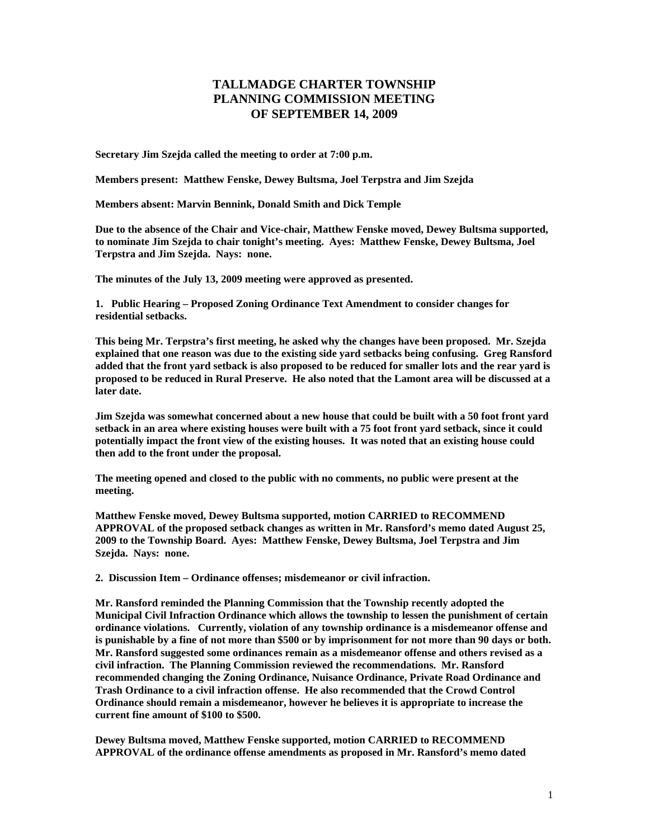## **TALLMADGE CHARTER TOWNSHIP PLANNING COMMISSION MEETING OF SEPTEMBER 14, 2009**

**Secretary Jim Szejda called the meeting to order at 7:00 p.m.** 

**Members present: Matthew Fenske, Dewey Bultsma, Joel Terpstra and Jim Szejda** 

**Members absent: Marvin Bennink, Donald Smith and Dick Temple** 

**Due to the absence of the Chair and Vice-chair, Matthew Fenske moved, Dewey Bultsma supported, to nominate Jim Szejda to chair tonight's meeting. Ayes: Matthew Fenske, Dewey Bultsma, Joel Terpstra and Jim Szejda. Nays: none.** 

**The minutes of the July 13, 2009 meeting were approved as presented.** 

**1. Public Hearing – Proposed Zoning Ordinance Text Amendment to consider changes for residential setbacks.** 

**This being Mr. Terpstra's first meeting, he asked why the changes have been proposed. Mr. Szejda explained that one reason was due to the existing side yard setbacks being confusing. Greg Ransford added that the front yard setback is also proposed to be reduced for smaller lots and the rear yard is proposed to be reduced in Rural Preserve. He also noted that the Lamont area will be discussed at a later date.** 

**Jim Szejda was somewhat concerned about a new house that could be built with a 50 foot front yard setback in an area where existing houses were built with a 75 foot front yard setback, since it could potentially impact the front view of the existing houses. It was noted that an existing house could then add to the front under the proposal.** 

**The meeting opened and closed to the public with no comments, no public were present at the meeting.** 

**Matthew Fenske moved, Dewey Bultsma supported, motion CARRIED to RECOMMEND APPROVAL of the proposed setback changes as written in Mr. Ransford's memo dated August 25, 2009 to the Township Board. Ayes: Matthew Fenske, Dewey Bultsma, Joel Terpstra and Jim Szejda. Nays: none.** 

**2. Discussion Item – Ordinance offenses; misdemeanor or civil infraction.** 

**Mr. Ransford reminded the Planning Commission that the Township recently adopted the Municipal Civil Infraction Ordinance which allows the township to lessen the punishment of certain ordinance violations. Currently, violation of any township ordinance is a misdemeanor offense and is punishable by a fine of not more than \$500 or by imprisonment for not more than 90 days or both. Mr. Ransford suggested some ordinances remain as a misdemeanor offense and others revised as a civil infraction. The Planning Commission reviewed the recommendations. Mr. Ransford recommended changing the Zoning Ordinance, Nuisance Ordinance, Private Road Ordinance and Trash Ordinance to a civil infraction offense. He also recommended that the Crowd Control Ordinance should remain a misdemeanor, however he believes it is appropriate to increase the current fine amount of \$100 to \$500.** 

**Dewey Bultsma moved, Matthew Fenske supported, motion CARRIED to RECOMMEND APPROVAL of the ordinance offense amendments as proposed in Mr. Ransford's memo dated**